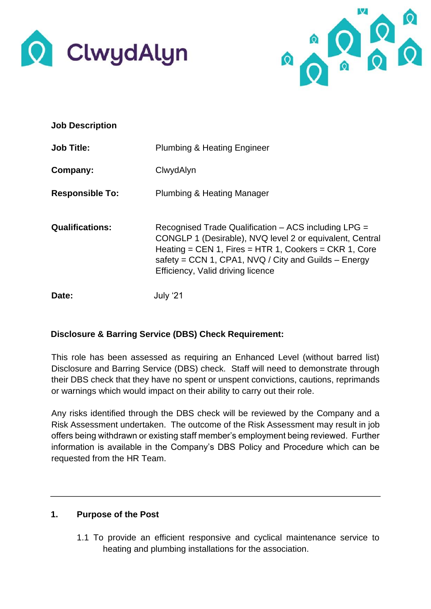



| <b>Job Description</b> |                                                                                                                                                                                                                                                                          |
|------------------------|--------------------------------------------------------------------------------------------------------------------------------------------------------------------------------------------------------------------------------------------------------------------------|
| <b>Job Title:</b>      | <b>Plumbing &amp; Heating Engineer</b>                                                                                                                                                                                                                                   |
| Company:               | ClwydAlyn                                                                                                                                                                                                                                                                |
| <b>Responsible To:</b> | Plumbing & Heating Manager                                                                                                                                                                                                                                               |
| <b>Qualifications:</b> | Recognised Trade Qualification – ACS including LPG =<br>CONGLP 1 (Desirable), NVQ level 2 or equivalent, Central<br>Heating = CEN 1, Fires = HTR 1, Cookers = CKR 1, Core<br>safety = CCN 1, CPA1, NVQ / City and Guilds $-$ Energy<br>Efficiency, Valid driving licence |
| Date:                  | July '21                                                                                                                                                                                                                                                                 |

### **Disclosure & Barring Service (DBS) Check Requirement:**

This role has been assessed as requiring an Enhanced Level (without barred list) Disclosure and Barring Service (DBS) check. Staff will need to demonstrate through their DBS check that they have no spent or unspent convictions, cautions, reprimands or warnings which would impact on their ability to carry out their role.

Any risks identified through the DBS check will be reviewed by the Company and a Risk Assessment undertaken. The outcome of the Risk Assessment may result in job offers being withdrawn or existing staff member's employment being reviewed. Further information is available in the Company's DBS Policy and Procedure which can be requested from the HR Team.

### **1. Purpose of the Post**

1.1 To provide an efficient responsive and cyclical maintenance service to heating and plumbing installations for the association.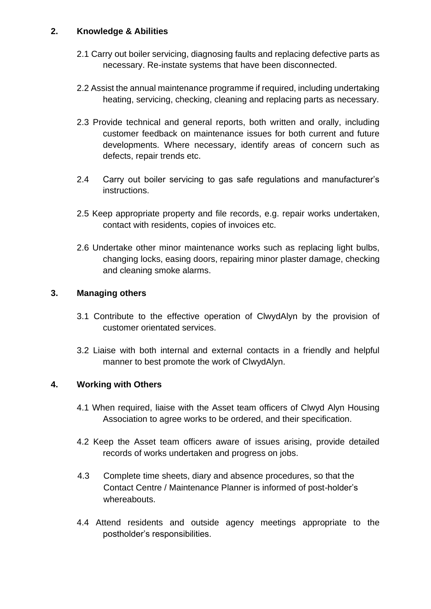### **2. Knowledge & Abilities**

- 2.1 Carry out boiler servicing, diagnosing faults and replacing defective parts as necessary. Re-instate systems that have been disconnected.
- 2.2 Assist the annual maintenance programme if required, including undertaking heating, servicing, checking, cleaning and replacing parts as necessary.
- 2.3 Provide technical and general reports, both written and orally, including customer feedback on maintenance issues for both current and future developments. Where necessary, identify areas of concern such as defects, repair trends etc.
- 2.4 Carry out boiler servicing to gas safe regulations and manufacturer's instructions.
- 2.5 Keep appropriate property and file records, e.g. repair works undertaken, contact with residents, copies of invoices etc.
- 2.6 Undertake other minor maintenance works such as replacing light bulbs, changing locks, easing doors, repairing minor plaster damage, checking and cleaning smoke alarms.

### **3. Managing others**

- 3.1 Contribute to the effective operation of ClwydAlyn by the provision of customer orientated services.
- 3.2 Liaise with both internal and external contacts in a friendly and helpful manner to best promote the work of ClwydAlyn.

### **4. Working with Others**

- 4.1 When required, liaise with the Asset team officers of Clwyd Alyn Housing Association to agree works to be ordered, and their specification.
- 4.2 Keep the Asset team officers aware of issues arising, provide detailed records of works undertaken and progress on jobs.
- 4.3 Complete time sheets, diary and absence procedures, so that the Contact Centre / Maintenance Planner is informed of post-holder's whereabouts.
- 4.4 Attend residents and outside agency meetings appropriate to the postholder's responsibilities.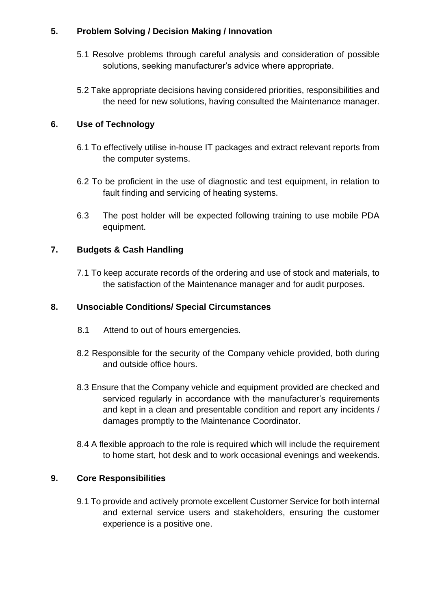# **5. Problem Solving / Decision Making / Innovation**

- 5.1 Resolve problems through careful analysis and consideration of possible solutions, seeking manufacturer's advice where appropriate.
- 5.2 Take appropriate decisions having considered priorities, responsibilities and the need for new solutions, having consulted the Maintenance manager.

# **6. Use of Technology**

- 6.1 To effectively utilise in-house IT packages and extract relevant reports from the computer systems.
- 6.2 To be proficient in the use of diagnostic and test equipment, in relation to fault finding and servicing of heating systems.
- 6.3 The post holder will be expected following training to use mobile PDA equipment.

# **7. Budgets & Cash Handling**

7.1 To keep accurate records of the ordering and use of stock and materials, to the satisfaction of the Maintenance manager and for audit purposes.

## **8. Unsociable Conditions/ Special Circumstances**

- 8.1 Attend to out of hours emergencies.
- 8.2 Responsible for the security of the Company vehicle provided, both during and outside office hours.
- 8.3 Ensure that the Company vehicle and equipment provided are checked and serviced regularly in accordance with the manufacturer's requirements and kept in a clean and presentable condition and report any incidents / damages promptly to the Maintenance Coordinator.
- 8.4 A flexible approach to the role is required which will include the requirement to home start, hot desk and to work occasional evenings and weekends.

### **9. Core Responsibilities**

9.1 To provide and actively promote excellent Customer Service for both internal and external service users and stakeholders, ensuring the customer experience is a positive one.